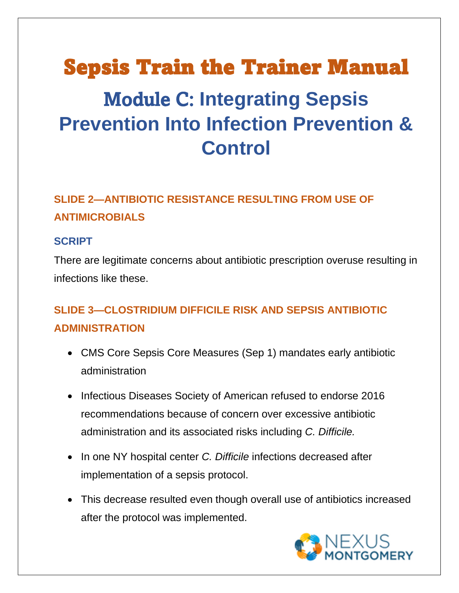# Sepsis Train the Trainer Manual Module C: **Integrating Sepsis Prevention Into Infection Prevention & Control**

# **SLIDE 2—ANTIBIOTIC RESISTANCE RESULTING FROM USE OF ANTIMICROBIALS**

#### **SCRIPT**

There are legitimate concerns about antibiotic prescription overuse resulting in infections like these.

## **SLIDE 3—CLOSTRIDIUM DIFFICILE RISK AND SEPSIS ANTIBIOTIC ADMINISTRATION**

- CMS Core Sepsis Core Measures (Sep 1) mandates early antibiotic administration
- Infectious Diseases Society of American refused to endorse 2016 recommendations because of concern over excessive antibiotic administration and its associated risks including *C. Difficile.*
- In one NY hospital center *C. Difficile* infections decreased after implementation of a sepsis protocol.
- This decrease resulted even though overall use of antibiotics increased after the protocol was implemented.